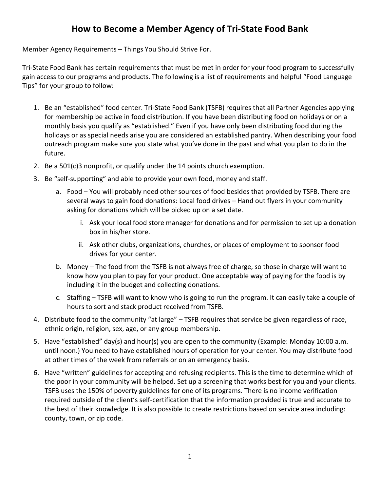## **How to Become a Member Agency of Tri-State Food Bank**

Member Agency Requirements – Things You Should Strive For.

Tri-State Food Bank has certain requirements that must be met in order for your food program to successfully gain access to our programs and products. The following is a list of requirements and helpful "Food Language Tips" for your group to follow:

- 1. Be an "established" food center. Tri-State Food Bank (TSFB) requires that all Partner Agencies applying for membership be active in food distribution. If you have been distributing food on holidays or on a monthly basis you qualify as "established." Even if you have only been distributing food during the holidays or as special needs arise you are considered an established pantry. When describing your food outreach program make sure you state what you've done in the past and what you plan to do in the future.
- 2. Be a 501(c)3 nonprofit, or qualify under the 14 points church exemption.
- 3. Be "self-supporting" and able to provide your own food, money and staff.
	- a. Food You will probably need other sources of food besides that provided by TSFB. There are several ways to gain food donations: Local food drives – Hand out flyers in your community asking for donations which will be picked up on a set date.
		- i. Ask your local food store manager for donations and for permission to set up a donation box in his/her store.
		- ii. Ask other clubs, organizations, churches, or places of employment to sponsor food drives for your center.
	- b. Money The food from the TSFB is not always free of charge, so those in charge will want to know how you plan to pay for your product. One acceptable way of paying for the food is by including it in the budget and collecting donations.
	- c. Staffing TSFB will want to know who is going to run the program. It can easily take a couple of hours to sort and stack product received from TSFB.
- 4. Distribute food to the community "at large" TSFB requires that service be given regardless of race, ethnic origin, religion, sex, age, or any group membership.
- 5. Have "established" day(s) and hour(s) you are open to the community (Example: Monday 10:00 a.m. until noon.) You need to have established hours of operation for your center. You may distribute food at other times of the week from referrals or on an emergency basis.
- 6. Have "written" guidelines for accepting and refusing recipients. This is the time to determine which of the poor in your community will be helped. Set up a screening that works best for you and your clients. TSFB uses the 150% of poverty guidelines for one of its programs. There is no income verification required outside of the client's self-certification that the information provided is true and accurate to the best of their knowledge. It is also possible to create restrictions based on service area including: county, town, or zip code.